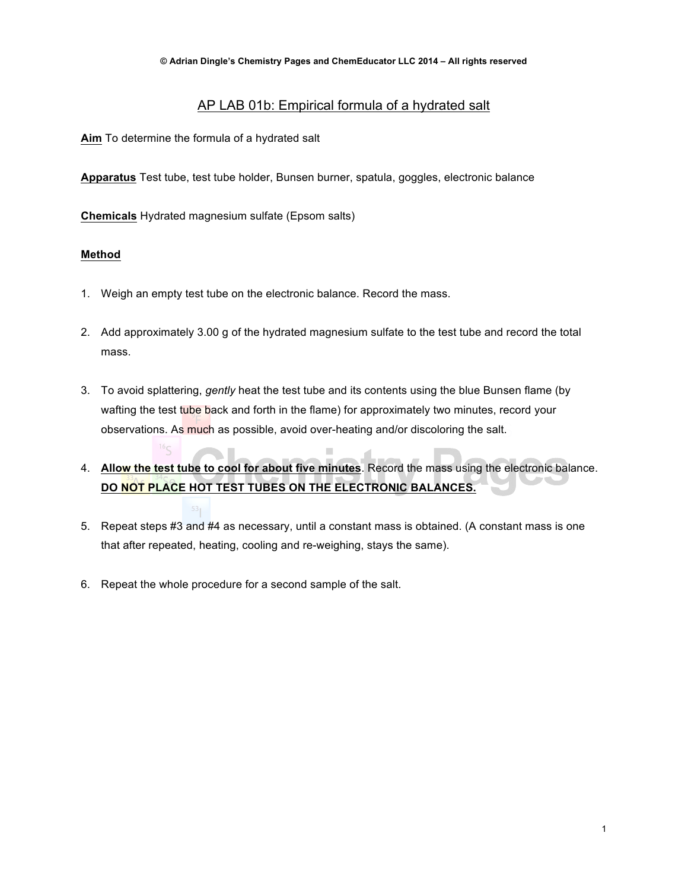## AP LAB 01b: Empirical formula of a hydrated salt

**Aim** To determine the formula of a hydrated salt

**Apparatus** Test tube, test tube holder, Bunsen burner, spatula, goggles, electronic balance

**Chemicals** Hydrated magnesium sulfate (Epsom salts)

 $\blacksquare$ 

 $53$ 

## **Method**

- 1. Weigh an empty test tube on the electronic balance. Record the mass.
- 2. Add approximately 3.00 g of the hydrated magnesium sulfate to the test tube and record the total mass.
- 3. To avoid splattering, *gently* heat the test tube and its contents using the blue Bunsen flame (by wafting the test tube back and forth in the flame) for approximately two minutes, record your observations. As much as possible, avoid over-heating and/or discoloring the salt.
- 4. **Allow the test tube to cool for about five minutes**. Record the mass using the electronic balance. **DO NOT PLACE HOT TEST TUBES ON THE ELECTRONIC BALANCES.**
- 5. Repeat steps #3 and #4 as necessary, until a constant mass is obtained. (A constant mass is one that after repeated, heating, cooling and re-weighing, stays the same).
- 6. Repeat the whole procedure for a second sample of the salt.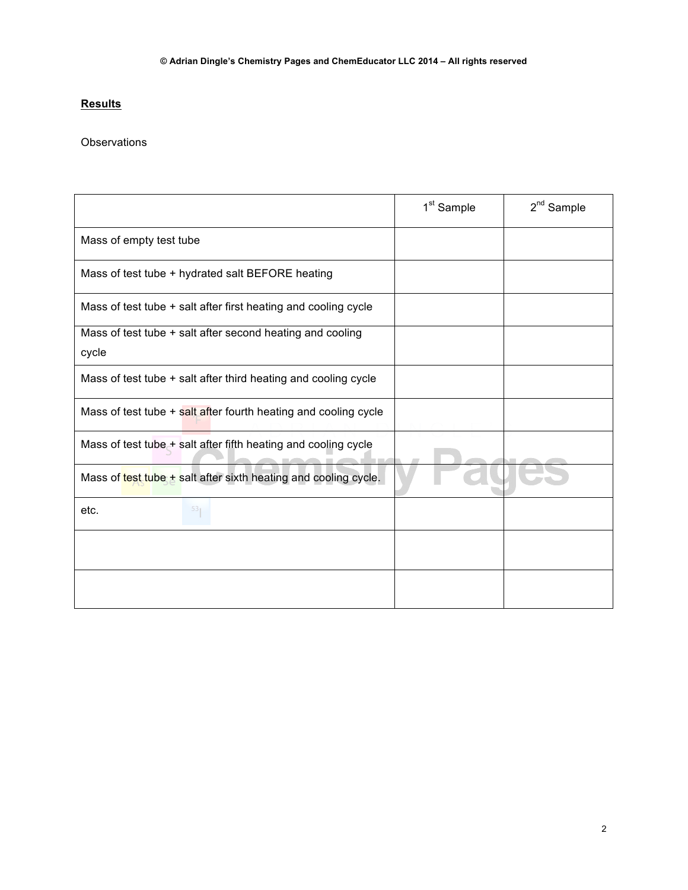## **Results**

**Observations** 

|                                                                    | 1 <sup>st</sup> Sample | $2nd$ Sample |
|--------------------------------------------------------------------|------------------------|--------------|
| Mass of empty test tube                                            |                        |              |
| Mass of test tube + hydrated salt BEFORE heating                   |                        |              |
| Mass of test tube + salt after first heating and cooling cycle     |                        |              |
| Mass of test tube + salt after second heating and cooling<br>cycle |                        |              |
| Mass of test tube + salt after third heating and cooling cycle     |                        |              |
| Mass of test tube + salt after fourth heating and cooling cycle    |                        |              |
| Mass of test tube + salt after fifth heating and cooling cycle     |                        |              |
| Mass of test tube + salt after sixth heating and cooling cycle.    |                        |              |
| 53 <sub>1</sub><br>etc.                                            |                        |              |
|                                                                    |                        |              |
|                                                                    |                        |              |